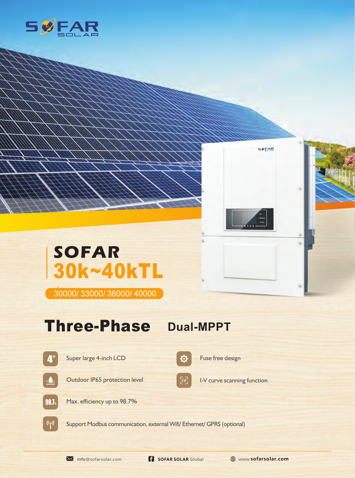



## **SOFAR** 30k~40kTL

30000/ 33000/ 36000/ 40000

## Three-Phase Dual-MPPT